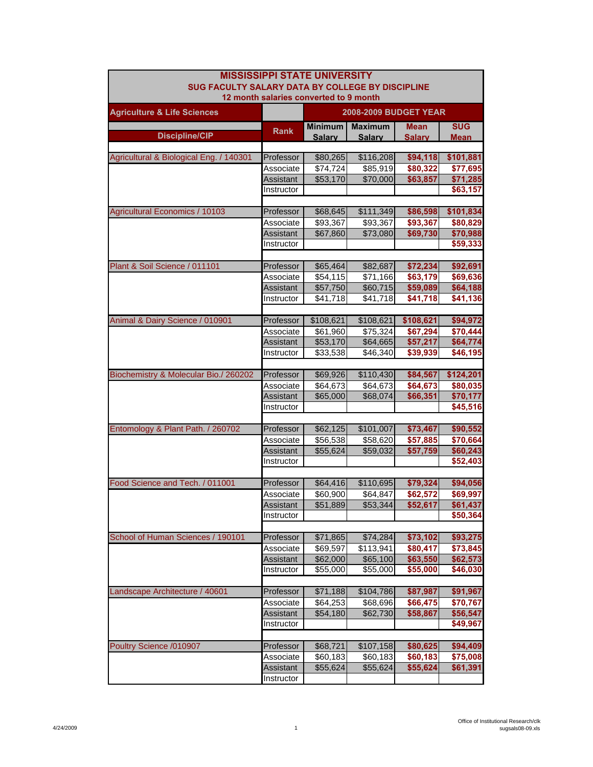| <b>MISSISSIPPI STATE UNIVERSITY</b><br>SUG FACULTY SALARY DATA BY COLLEGE BY DISCIPLINE |                                        |                              |                      |                      |                      |  |  |
|-----------------------------------------------------------------------------------------|----------------------------------------|------------------------------|----------------------|----------------------|----------------------|--|--|
|                                                                                         | 12 month salaries converted to 9 month |                              |                      |                      |                      |  |  |
| <b>Agriculture &amp; Life Sciences</b>                                                  |                                        | <b>2008-2009 BUDGET YEAR</b> |                      |                      |                      |  |  |
|                                                                                         | <b>Rank</b>                            | Minimum                      | <b>Maximum</b>       | <b>Mean</b>          | <b>SUG</b>           |  |  |
| <b>Discipline/CIP</b>                                                                   |                                        | <b>Salarv</b>                | <b>Salarv</b>        | <b>Salary</b>        | <b>Mean</b>          |  |  |
|                                                                                         |                                        |                              |                      |                      |                      |  |  |
| Agricultural & Biological Eng. / 140301                                                 | Professor                              | \$80,265                     | \$116,208            | \$94,118<br>\$80,322 | \$101,881            |  |  |
|                                                                                         | Associate<br><b>Assistant</b>          | \$74,724<br>\$53,170         | \$85,919<br>\$70,000 | \$63,857             | \$77,695<br>\$71,285 |  |  |
|                                                                                         | Instructor                             |                              |                      |                      | \$63,157             |  |  |
|                                                                                         |                                        |                              |                      |                      |                      |  |  |
| <b>Agricultural Economics / 10103</b>                                                   | Professor                              | \$68,645                     | \$111,349            | \$86,598             | \$101,834            |  |  |
|                                                                                         | Associate                              | \$93,367                     | \$93,367             | \$93,367             | \$80,829             |  |  |
|                                                                                         | Assistant                              | \$67,860                     | \$73,080             | \$69,730             | \$70,988             |  |  |
|                                                                                         | Instructor                             |                              |                      |                      | \$59,333             |  |  |
|                                                                                         |                                        |                              |                      |                      |                      |  |  |
| Plant & Soil Science / 011101                                                           | Professor                              | \$65,464                     | \$82,687             | \$72,234             | \$92,691             |  |  |
|                                                                                         | Associate                              | \$54,115                     | \$71,166             | \$63,179             | \$69,636             |  |  |
|                                                                                         | Assistant                              | \$57,750                     | \$60,715             | \$59,089             | \$64,188             |  |  |
|                                                                                         | Instructor                             | \$41,718                     | \$41,718             | \$41,718             | \$41,136             |  |  |
|                                                                                         |                                        |                              |                      |                      |                      |  |  |
| Animal & Dairy Science / 010901                                                         | Professor                              | \$108,621                    | \$108,621            | \$108,621            | \$94,972             |  |  |
|                                                                                         | Associate                              | \$61,960                     | \$75,324             | \$67,294             | \$70,444             |  |  |
|                                                                                         | Assistant                              | \$53,170                     | \$64,665             | \$57,217             | \$64,774             |  |  |
|                                                                                         | Instructor                             | \$33,538                     | \$46,340             | \$39,939             | \$46,195             |  |  |
|                                                                                         |                                        |                              |                      |                      |                      |  |  |
| Biochemistry & Molecular Bio./ 260202                                                   | Professor                              | \$69,926                     | \$110,430            | \$84,567             | \$124,201            |  |  |
|                                                                                         | Associate                              | \$64,673                     | \$64,673             | \$64,673             | \$80,035             |  |  |
|                                                                                         | Assistant                              | \$65,000                     | \$68,074             | \$66,351             | \$70,177             |  |  |
|                                                                                         | Instructor                             |                              |                      |                      | \$45,516             |  |  |
| Entomology & Plant Path. / 260702                                                       | Professor                              | \$62,125                     | \$101,007            | \$73,467             | \$90,552             |  |  |
|                                                                                         | Associate                              | \$56,538                     | \$58,620             | \$57,885             | \$70,664             |  |  |
|                                                                                         | Assistant                              | \$55,624                     | \$59,032             | \$57,759             | \$60,243             |  |  |
|                                                                                         | Instructor                             |                              |                      |                      | \$52,403             |  |  |
|                                                                                         |                                        |                              |                      |                      |                      |  |  |
| Food Science and Tech. / 011001                                                         | Professor                              | \$64,416                     | \$110,695            | \$79,324             | \$94,056             |  |  |
|                                                                                         | Associate                              | \$60,900                     | \$64,847             | \$62,572             | \$69,997             |  |  |
|                                                                                         | Assistant                              | \$51,889                     | \$53,344             | \$52,617             | \$61,437             |  |  |
|                                                                                         | Instructor                             |                              |                      |                      | \$50,364             |  |  |
|                                                                                         |                                        |                              |                      |                      |                      |  |  |
| School of Human Sciences / 190101                                                       | Professor                              | \$71,865                     | \$74,284             | \$73,102             | \$93,275             |  |  |
|                                                                                         | Associate                              | $\overline{$}69,597$         | \$113,941            | \$80,417             | \$73,845             |  |  |
|                                                                                         | Assistant                              | \$62,000                     | \$65,100             | \$63,550             | \$62,573             |  |  |
|                                                                                         | Instructor                             | \$55,000                     | \$55,000             | \$55,000             | \$46,030             |  |  |
|                                                                                         |                                        |                              |                      |                      |                      |  |  |
| Landscape Architecture / 40601                                                          | Professor                              | \$71,188                     | \$104,786            | \$87,987             | \$91,967             |  |  |
|                                                                                         | Associate                              | \$64,253                     | $\frac{666}{696}$    | \$66,475             | \$70,767             |  |  |
|                                                                                         | Assistant                              | \$54,180                     | \$62,730             | \$58,867             | \$56,547             |  |  |
|                                                                                         | Instructor                             |                              |                      |                      | \$49,967             |  |  |
|                                                                                         |                                        |                              |                      |                      |                      |  |  |
| Poultry Science /010907                                                                 | Professor                              | \$68,721                     | \$107,158            | \$80,625             | \$94,409             |  |  |
|                                                                                         | Associate<br>Assistant                 | \$60,183<br>\$55,624         | \$60,183<br>\$55,624 | \$60,183<br>\$55,624 | \$75,008<br>\$61,391 |  |  |
|                                                                                         | Instructor                             |                              |                      |                      |                      |  |  |
|                                                                                         |                                        |                              |                      |                      |                      |  |  |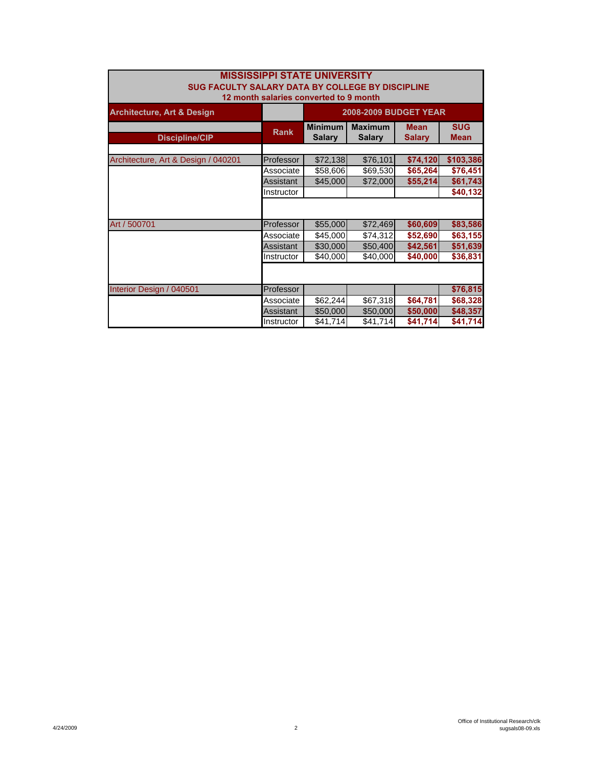| <b>MISSISSIPPI STATE UNIVERSITY</b><br>SUG FACULTY SALARY DATA BY COLLEGE BY DISCIPLINE |             |                                 |                                 |                              |                           |  |
|-----------------------------------------------------------------------------------------|-------------|---------------------------------|---------------------------------|------------------------------|---------------------------|--|
| 12 month salaries converted to 9 month                                                  |             |                                 |                                 |                              |                           |  |
| <b>Architecture, Art &amp; Design</b>                                                   |             | <b>2008-2009 BUDGET YEAR</b>    |                                 |                              |                           |  |
| <b>Discipline/CIP</b>                                                                   | <b>Rank</b> | <b>Minimum</b><br><b>Salary</b> | <b>Maximum</b><br><b>Salary</b> | <b>Mean</b><br><b>Salary</b> | <b>SUG</b><br><b>Mean</b> |  |
|                                                                                         |             |                                 |                                 |                              |                           |  |
| Architecture, Art & Design / 040201                                                     | Professor   | \$72,138                        | \$76,101                        | \$74,120                     | \$103,386                 |  |
|                                                                                         | Associate   | \$58,606                        | \$69,530                        | \$65,264                     | \$76,451                  |  |
|                                                                                         | Assistant   | \$45,000                        | \$72,000                        | \$55,214                     | \$61,743                  |  |
|                                                                                         | Instructor  |                                 |                                 |                              | \$40,132                  |  |
|                                                                                         |             |                                 |                                 |                              |                           |  |
| Art / 500701                                                                            | Professor   | \$55,000                        | \$72,469                        | \$60,609                     | \$83,586                  |  |
|                                                                                         | Associate   | \$45,000                        | \$74,312                        | \$52,690                     | \$63,155                  |  |
|                                                                                         | Assistant   | \$30,000                        | \$50,400                        | \$42,561                     | \$51,639                  |  |
|                                                                                         | Instructor  | \$40,000                        | \$40,000                        | \$40,000                     | \$36,831                  |  |
|                                                                                         |             |                                 |                                 |                              |                           |  |
| Interior Design / 040501                                                                | Professor   |                                 |                                 |                              | \$76,815                  |  |
|                                                                                         | Associate   | \$62,244                        | \$67,318                        | \$64,781                     | \$68,328                  |  |
|                                                                                         | Assistant   | \$50,000                        | \$50,000                        | \$50,000                     | \$48,357                  |  |
|                                                                                         | Instructor  | \$41,714                        | \$41,714                        | \$41,714                     | \$41,714                  |  |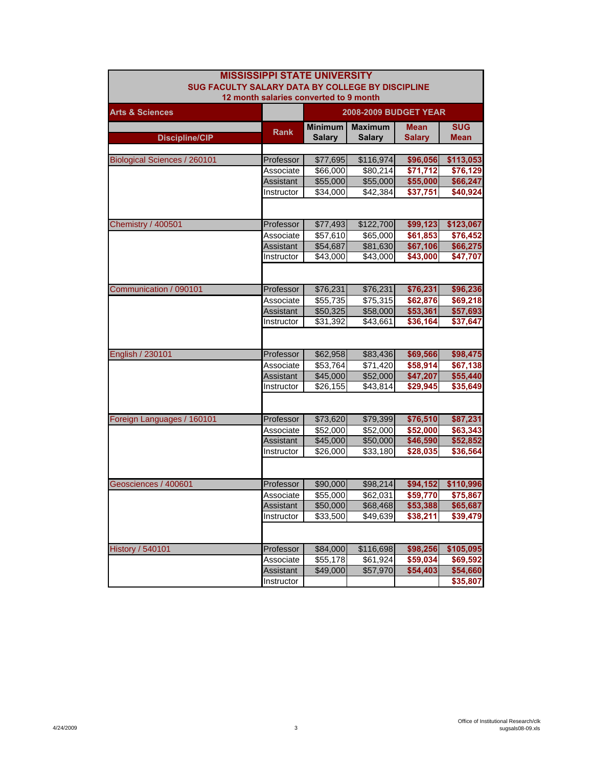| <b>MISSISSIPPI STATE UNIVERSITY</b>              |                                        |                              |                      |                      |             |  |
|--------------------------------------------------|----------------------------------------|------------------------------|----------------------|----------------------|-------------|--|
| SUG FACULTY SALARY DATA BY COLLEGE BY DISCIPLINE |                                        |                              |                      |                      |             |  |
|                                                  | 12 month salaries converted to 9 month |                              |                      |                      |             |  |
| <b>Arts &amp; Sciences</b>                       |                                        | <b>2008-2009 BUDGET YEAR</b> |                      |                      |             |  |
|                                                  | <b>Rank</b>                            | <b>Minimum</b>               | <b>Maximum</b>       | <b>Mean</b>          | <b>SUG</b>  |  |
| <b>Discipline/CIP</b>                            |                                        | <b>Salary</b>                | <b>Salary</b>        | <b>Salary</b>        | <b>Mean</b> |  |
|                                                  |                                        |                              |                      |                      |             |  |
| <b>Biological Sciences / 260101</b>              | Professor                              | \$77,695                     | \$116,974            | \$96,056             | \$113,053   |  |
|                                                  | Associate                              | \$66,000                     | \$80,214             | \$71,712             | \$76,129    |  |
|                                                  | Assistant                              | \$55,000                     | \$55,000             | \$55,000             | \$66,247    |  |
|                                                  | Instructor                             | \$34,000                     | \$42,384             | \$37,751             | \$40,924    |  |
|                                                  |                                        |                              |                      |                      |             |  |
|                                                  |                                        |                              |                      |                      |             |  |
| <b>Chemistry / 400501</b>                        | Professor                              | \$77,493                     | \$122,700            | \$99,123             | \$123,067   |  |
|                                                  | Associate                              | \$57,610                     | \$65,000             | \$61,853             | \$76,452    |  |
|                                                  | Assistant                              | \$54,687                     | \$81,630             | \$67,106<br>\$43,000 | \$66,275    |  |
|                                                  | Instructor                             | \$43,000                     | \$43,000             |                      | \$47,707    |  |
|                                                  |                                        |                              |                      |                      |             |  |
| Communication / 090101                           | Professor                              | \$76,231                     | \$76,231             | \$76,231             | \$96,236    |  |
|                                                  | Associate                              | \$55,735                     | \$75,315             | \$62,876             | \$69,218    |  |
|                                                  | Assistant                              | \$50,325                     | \$58,000             | \$53,361             | \$57,693    |  |
|                                                  | Instructor                             | \$31,392                     | \$43,661             | \$36,164             | \$37,647    |  |
|                                                  |                                        |                              |                      |                      |             |  |
|                                                  |                                        |                              |                      |                      |             |  |
| English / 230101                                 | Professor                              | \$62,958                     | \$83,436             | \$69,566             | \$98,475    |  |
|                                                  | Associate                              | \$53,764                     | \$71,420             | \$58,914             | \$67,138    |  |
|                                                  | Assistant                              | \$45,000                     | \$52,000             | \$47,207             | \$55,440    |  |
|                                                  | Instructor                             | \$26,155                     | \$43,814             | \$29,945             | \$35,649    |  |
|                                                  |                                        |                              |                      |                      |             |  |
|                                                  |                                        |                              |                      |                      |             |  |
| Foreign Languages / 160101                       | Professor                              | \$73,620                     | \$79,399             | \$76,510             | \$87,231    |  |
|                                                  | Associate                              | \$52,000                     | \$52,000             | \$52,000             | \$63,343    |  |
|                                                  | Assistant                              | \$45,000                     | \$50,000             | \$46,590             | \$52,852    |  |
|                                                  | Instructor                             | \$26,000                     | \$33,180             | \$28,035             | \$36,564    |  |
|                                                  |                                        |                              |                      |                      |             |  |
| Geosciences / 400601                             | Professor                              | \$90,000                     | \$98,214             | \$94,152             | \$110,996   |  |
|                                                  | Associate                              | \$55,000                     | \$62,031             | \$59,770             | \$75,867    |  |
|                                                  | Assistant                              | \$50,000                     | \$68,468             | \$53,388             | \$65,687    |  |
|                                                  | Instructor                             | \$33,500                     | \$49,639             | \$38,211             | \$39,479    |  |
|                                                  |                                        |                              |                      |                      |             |  |
|                                                  |                                        |                              |                      |                      |             |  |
| <b>History / 540101</b>                          | Professor                              | \$84,000                     | \$116,698            | \$98,256             | \$105,095   |  |
|                                                  | Associate                              | \$55,178                     | \$61,924             | \$59,034             | \$69,592    |  |
|                                                  | Assistant                              | \$49,000                     | $\overline{$}57,970$ | \$54,403             | \$54,660    |  |
|                                                  | Instructor                             |                              |                      |                      | \$35,807    |  |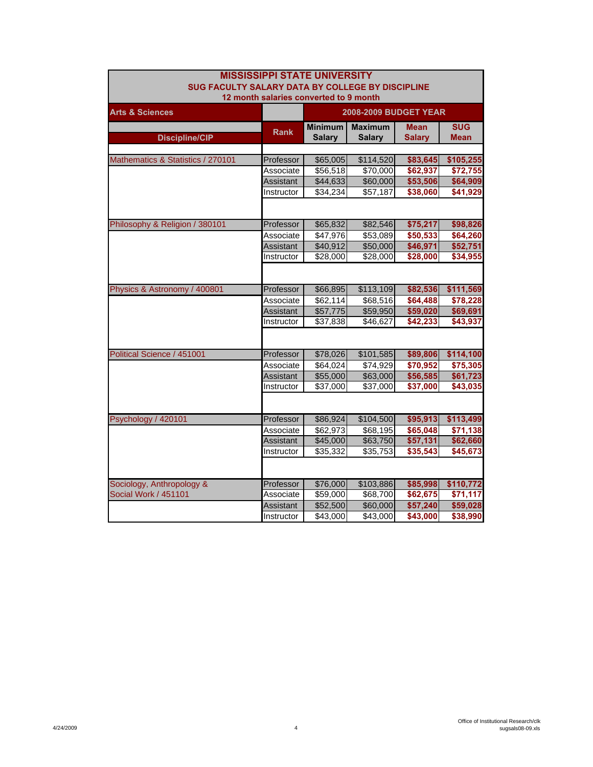| <b>MISSISSIPPI STATE UNIVERSITY</b>              |                  |                |                              |               |                 |  |  |
|--------------------------------------------------|------------------|----------------|------------------------------|---------------|-----------------|--|--|
| SUG FACULTY SALARY DATA BY COLLEGE BY DISCIPLINE |                  |                |                              |               |                 |  |  |
| 12 month salaries converted to 9 month           |                  |                |                              |               |                 |  |  |
| <b>Arts &amp; Sciences</b>                       |                  |                | <b>2008-2009 BUDGET YEAR</b> |               |                 |  |  |
|                                                  |                  | <b>Minimum</b> | <b>Maximum</b>               | <b>Mean</b>   | <b>SUG</b>      |  |  |
| <b>Discipline/CIP</b>                            | <b>Rank</b>      | <b>Salary</b>  | <b>Salary</b>                | <b>Salary</b> | <b>Mean</b>     |  |  |
|                                                  |                  |                |                              |               |                 |  |  |
| Mathematics & Statistics / 270101                | Professor        | \$65,005       | \$114,520                    | \$83,645      | \$105,255       |  |  |
|                                                  | Associate        | \$56,518       | \$70,000                     | \$62,937      | \$72,755        |  |  |
|                                                  | Assistant        | \$44,633       | \$60,000                     | \$53,506      | \$64,909        |  |  |
|                                                  | Instructor       | \$34,234       | \$57,187                     | \$38,060      | \$41,929        |  |  |
|                                                  |                  |                |                              |               |                 |  |  |
| Philosophy & Religion / 380101                   | Professor        | \$65,832       | \$82,546                     | \$75,217      | \$98,826        |  |  |
|                                                  | Associate        | \$47,976       | \$53,089                     | \$50,533      | \$64,260        |  |  |
|                                                  | Assistant        | \$40,912       | \$50,000                     | \$46,971      | \$52,751        |  |  |
|                                                  | Instructor       | \$28,000       | \$28,000                     | \$28,000      | \$34,955        |  |  |
|                                                  |                  |                |                              |               |                 |  |  |
|                                                  |                  |                |                              |               |                 |  |  |
| Physics & Astronomy / 400801                     | Professor        | \$66,895       | \$113,109                    | \$82,536      | \$111,569       |  |  |
|                                                  | Associate        | \$62,114       | \$68,516                     | \$64,488      | \$78,228        |  |  |
|                                                  | Assistant        | \$57,775       | \$59,950                     | \$59,020      | \$69,691        |  |  |
|                                                  | Instructor       | \$37,838       | \$46,627                     | \$42,233      | \$43,937        |  |  |
|                                                  |                  |                |                              |               |                 |  |  |
| Political Science / 451001                       | Professor        | \$78,026       | \$101,585                    | \$89,806      | \$114,100       |  |  |
|                                                  | Associate        | \$64,024       | \$74,929                     | \$70,952      | \$75,305        |  |  |
|                                                  | Assistant        | \$55,000       | \$63,000                     | \$56,585      | \$61,723        |  |  |
|                                                  | Instructor       | \$37,000       | \$37,000                     | \$37,000      | $\sqrt{43,035}$ |  |  |
|                                                  |                  |                |                              |               |                 |  |  |
| Psychology / 420101                              | Professor        | \$86,924       | \$104,500                    | \$95,913      | \$113,499       |  |  |
|                                                  | Associate        | \$62.973       | \$68,195                     | \$65,048      | \$71,138        |  |  |
|                                                  | <b>Assistant</b> | \$45,000       | \$63,750                     | \$57,131      | \$62,660        |  |  |
|                                                  | Instructor       | \$35,332       | \$35,753                     | \$35,543      | \$45,673        |  |  |
|                                                  |                  |                |                              |               |                 |  |  |
| Sociology, Anthropology &                        | Professor        | \$76,000       | \$103,886                    | \$85,998      | \$110,772       |  |  |
| <b>Social Work / 451101</b>                      | Associate        | \$59,000       | \$68,700                     | \$62,675      | \$71,117        |  |  |
|                                                  | Assistant        | \$52,500       | \$60,000                     | \$57,240      | \$59,028        |  |  |
|                                                  | Instructor       | \$43,000       | \$43,000                     | \$43,000      | \$38,990        |  |  |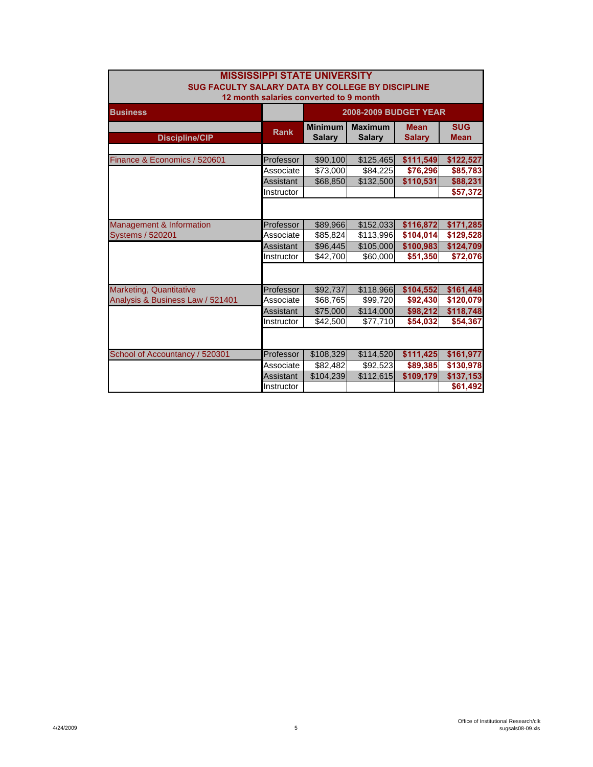| <b>MISSISSIPPI STATE UNIVERSITY</b>                                                        |                  |                                 |                                 |                              |                           |  |  |
|--------------------------------------------------------------------------------------------|------------------|---------------------------------|---------------------------------|------------------------------|---------------------------|--|--|
| SUG FACULTY SALARY DATA BY COLLEGE BY DISCIPLINE<br>12 month salaries converted to 9 month |                  |                                 |                                 |                              |                           |  |  |
| <b>Business</b>                                                                            |                  |                                 | <b>2008-2009 BUDGET YEAR</b>    |                              |                           |  |  |
| <b>Discipline/CIP</b>                                                                      | <b>Rank</b>      | <b>Minimum</b><br><b>Salary</b> | <b>Maximum</b><br><b>Salary</b> | <b>Mean</b><br><b>Salary</b> | <b>SUG</b><br><b>Mean</b> |  |  |
|                                                                                            |                  |                                 |                                 |                              |                           |  |  |
| Finance & Economics / 520601                                                               | Professor        | \$90,100                        | \$125,465                       | \$111,549                    | \$122,527                 |  |  |
|                                                                                            | Associate        | \$73,000                        | \$84,225                        | \$76,296                     | \$85,783                  |  |  |
|                                                                                            | Assistant        | \$68,850                        | \$132,500                       | \$110,531                    | \$88,231                  |  |  |
|                                                                                            | Instructor       |                                 |                                 |                              | \$57,372                  |  |  |
|                                                                                            |                  |                                 |                                 |                              |                           |  |  |
| Management & Information                                                                   | Professor        | \$89,966                        | \$152,033                       | \$116,872                    | \$171,285                 |  |  |
| <b>Systems / 520201</b>                                                                    | Associate        | \$85,824                        | \$113,996                       | \$104,014                    | \$129,528                 |  |  |
|                                                                                            | Assistant        | \$96,445                        | \$105,000                       | \$100,983                    | \$124,709                 |  |  |
|                                                                                            | Instructor       | \$42,700                        | \$60,000                        | \$51,350                     | \$72,076                  |  |  |
|                                                                                            |                  |                                 |                                 |                              |                           |  |  |
| <b>Marketing, Quantitative</b>                                                             | Professor        | \$92,737                        | \$118,966                       | \$104,552                    | \$161,448                 |  |  |
| Analysis & Business Law / 521401                                                           | Associate        | \$68,765                        | \$99,720                        | \$92,430                     | \$120,079                 |  |  |
|                                                                                            | <b>Assistant</b> | \$75,000                        | \$114,000                       | \$98,212                     | \$118,748                 |  |  |
|                                                                                            | Instructor       | \$42,500                        | \$77,710                        | \$54.032                     | \$54,367                  |  |  |
|                                                                                            |                  |                                 |                                 |                              |                           |  |  |
| School of Accountancy / 520301                                                             | Professor        | \$108,329                       | \$114,520                       | \$111,425                    | \$161,977                 |  |  |
|                                                                                            | Associate        | \$82,482                        | \$92,523                        | \$89,385                     | \$130,978                 |  |  |
|                                                                                            | Assistant        | \$104.239                       | \$112.615                       | \$109.179                    | \$137.153                 |  |  |
|                                                                                            | Instructor       |                                 |                                 |                              | \$61,492                  |  |  |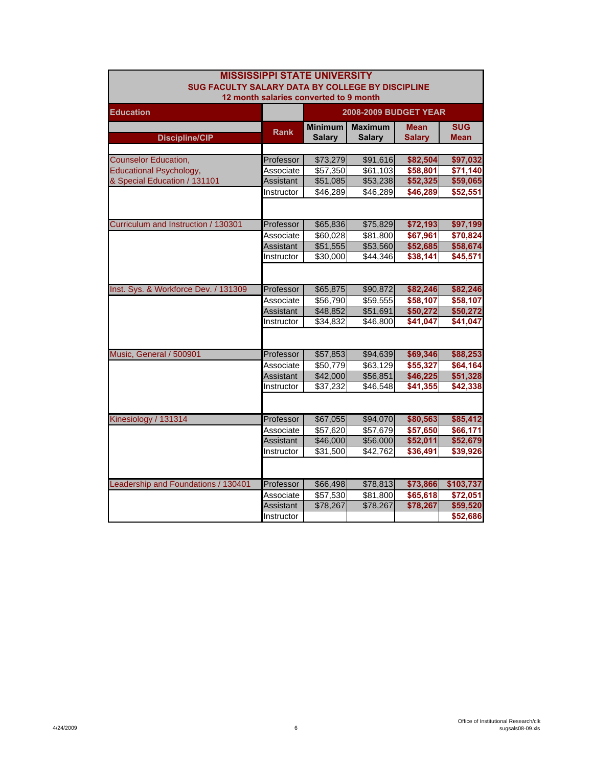| <b>MISSISSIPPI STATE UNIVERSITY</b>                     |                              |                      |                |               |             |  |  |
|---------------------------------------------------------|------------------------------|----------------------|----------------|---------------|-------------|--|--|
| <b>SUG FACULTY SALARY DATA BY COLLEGE BY DISCIPLINE</b> |                              |                      |                |               |             |  |  |
| 12 month salaries converted to 9 month                  |                              |                      |                |               |             |  |  |
| <b>Education</b>                                        | <b>2008-2009 BUDGET YEAR</b> |                      |                |               |             |  |  |
|                                                         |                              | <b>Minimum</b>       | <b>Maximum</b> | <b>Mean</b>   | <b>SUG</b>  |  |  |
| <b>Discipline/CIP</b>                                   | <b>Rank</b>                  | <b>Salary</b>        | <b>Salary</b>  | <b>Salary</b> | <b>Mean</b> |  |  |
|                                                         |                              |                      |                |               |             |  |  |
| <b>Counselor Education,</b>                             | Professor                    | \$73,279             | \$91,616       | \$82,504      | \$97,032    |  |  |
| <b>Educational Psychology,</b>                          | Associate                    | \$57,350             | \$61,103       | \$58,801      | \$71,140    |  |  |
| & Special Education / 131101                            | Assistant                    | \$51,085             | \$53,238       | \$52,325      | \$59,065    |  |  |
|                                                         | Instructor                   | \$46,289             | \$46,289       | \$46,289      | \$52,551    |  |  |
|                                                         |                              |                      |                |               |             |  |  |
| Curriculum and Instruction / 130301                     | Professor                    | \$65,836             | \$75,829       | \$72,193      | \$97,199    |  |  |
|                                                         | Associate                    | \$60,028             | \$81,800       | \$67,961      | \$70,824    |  |  |
|                                                         | Assistant                    | \$51,555             | \$53,560       | \$52,685      | \$58,674    |  |  |
|                                                         | Instructor                   | \$30,000             | \$44,346       | \$38,141      | \$45,571    |  |  |
|                                                         |                              |                      |                |               |             |  |  |
| Inst. Sys. & Workforce Dev. / 131309                    | Professor                    | \$65,875             | \$90,872       | \$82,246      | \$82,246    |  |  |
|                                                         | Associate                    | $\overline{$}56,790$ | \$59,555       | \$58,107      | \$58,107    |  |  |
|                                                         | Assistant                    | \$48,852             | \$51,691       | \$50,272      | \$50,272    |  |  |
|                                                         | Instructor                   | \$34,832             | \$46,800       | \$41,047      | \$41,047    |  |  |
|                                                         |                              |                      |                |               |             |  |  |
| Music, General / 500901                                 | Professor                    | \$57,853             | \$94,639       | \$69,346      | \$88,253    |  |  |
|                                                         | Associate                    | \$50,779             | \$63,129       | \$55,327      | \$64,164    |  |  |
|                                                         | Assistant                    | \$42,000             | \$56,851       | \$46,225      | \$51,328    |  |  |
|                                                         | Instructor                   | \$37,232             | \$46,548       | \$41,355      | \$42,338    |  |  |
|                                                         |                              |                      |                |               |             |  |  |
| Kinesiology / 131314                                    | Professor                    | \$67,055             | \$94,070       | \$80,563      | \$85,412    |  |  |
|                                                         | Associate                    | \$57,620             | \$57,679       | \$57,650      | \$66,171    |  |  |
|                                                         | <b>Assistant</b>             | \$46,000             | \$56,000       | \$52,011      | \$52,679    |  |  |
|                                                         | Instructor                   | \$31,500             | \$42,762       | \$36,491      | \$39,926    |  |  |
|                                                         |                              |                      |                |               |             |  |  |
| Leadership and Foundations / 130401                     | Professor                    | \$66,498             | \$78,813       | \$73,866      | \$103,737   |  |  |
|                                                         | Associate                    | \$57,530             | \$81,800       | \$65,618      | \$72,051    |  |  |
|                                                         | Assistant                    | \$78,267             | \$78,267       | \$78,267      | \$59,520    |  |  |
|                                                         | Instructor                   |                      |                |               | \$52,686    |  |  |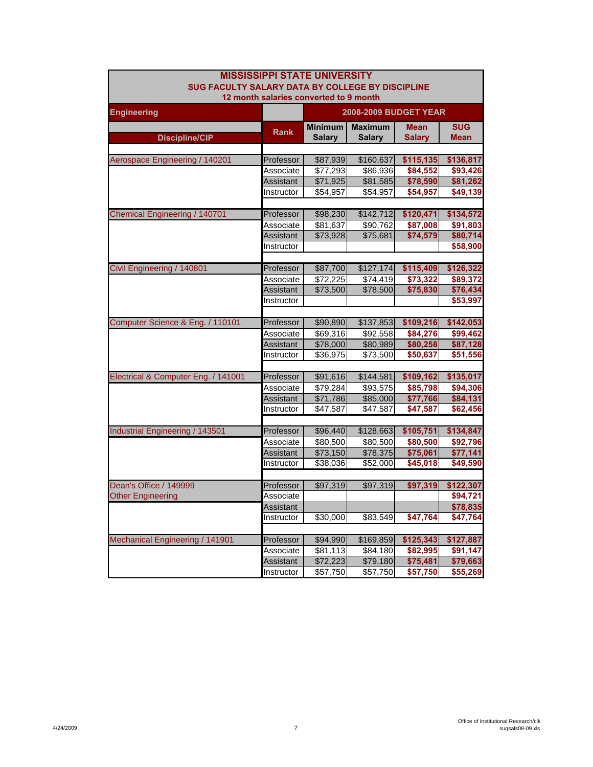| <b>MISSISSIPPI STATE UNIVERSITY</b> |                                                         |                                        |                      |                      |                      |  |  |
|-------------------------------------|---------------------------------------------------------|----------------------------------------|----------------------|----------------------|----------------------|--|--|
|                                     | <b>SUG FACULTY SALARY DATA BY COLLEGE BY DISCIPLINE</b> |                                        |                      |                      |                      |  |  |
|                                     |                                                         | 12 month salaries converted to 9 month |                      |                      |                      |  |  |
| <b>Engineering</b>                  | <b>2008-2009 BUDGET YEAR</b>                            |                                        |                      |                      |                      |  |  |
|                                     | <b>Rank</b>                                             | <b>Minimum</b>                         | <b>Maximum</b>       | <b>Mean</b>          | <b>SUG</b>           |  |  |
| <b>Discipline/CIP</b>               |                                                         | <b>Salary</b>                          | <b>Salary</b>        | <b>Salary</b>        | <b>Mean</b>          |  |  |
|                                     |                                                         |                                        |                      |                      |                      |  |  |
| Aerospace Engineering / 140201      | Professor                                               | \$87,939                               | \$160,637            | \$115,135            | \$136,817            |  |  |
|                                     | Associate                                               | \$77,293                               | \$86,936             | \$84,552             | \$93,426             |  |  |
|                                     | Assistant                                               | \$71,925                               | \$81,585             | \$78,590             | \$81,262             |  |  |
|                                     | Instructor                                              | \$54,957                               | \$54,957             | \$54,957             | \$49,139             |  |  |
|                                     |                                                         |                                        |                      |                      |                      |  |  |
| Chemical Engineering / 140701       | Professor                                               | \$98,230                               | \$142,712            | \$120,471            | \$134,572            |  |  |
|                                     | Associate                                               | \$81,637                               | \$90,762             | \$87,008             | \$91,803             |  |  |
|                                     | Assistant                                               | \$73,928                               | \$75,681             | \$74,579             | \$80,714             |  |  |
|                                     | Instructor                                              |                                        |                      |                      | \$58,900             |  |  |
|                                     |                                                         |                                        |                      |                      |                      |  |  |
| Civil Engineering / 140801          | Professor                                               | \$87,700                               | \$127,174            | \$115,409            | \$126,322            |  |  |
|                                     | Associate                                               | \$72,225                               | $\overline{$}74,419$ | \$73,322             | \$89,372             |  |  |
|                                     | Assistant                                               | \$73,500                               | \$78,500             | \$75,830             | \$76,434             |  |  |
|                                     | Instructor                                              |                                        |                      |                      | \$53,997             |  |  |
|                                     |                                                         |                                        |                      |                      |                      |  |  |
| Computer Science & Eng. / 110101    | Professor                                               | \$90,890                               | \$137,853            | \$109,216            | \$142,053            |  |  |
|                                     | Associate                                               | \$69,316                               | \$92,558             | \$84,276             | \$99,462             |  |  |
|                                     | Assistant<br>Instructor                                 | \$78,000<br>\$36,975                   | \$80,989<br>\$73,500 | \$80,258<br>\$50,637 | \$87,128<br>\$51,556 |  |  |
|                                     |                                                         |                                        |                      |                      |                      |  |  |
| Electrical & Computer Eng. / 141001 | Professor                                               | \$91,616                               | \$144,581            | \$109,162            | \$135,017            |  |  |
|                                     | Associate                                               | \$79,284                               | \$93,575             | \$85,798             | \$94,306             |  |  |
|                                     | <b>Assistant</b>                                        | \$71,786                               | \$85,000             | \$77,766             | \$84,131             |  |  |
|                                     | Instructor                                              | \$47,587                               | \$47,587             | \$47,587             | \$62,456             |  |  |
|                                     |                                                         |                                        |                      |                      |                      |  |  |
| Industrial Engineering / 143501     | Professor                                               | \$96,440                               | \$128,663            | \$105,751            | \$134,847            |  |  |
|                                     | Associate                                               | \$80,500                               | \$80,500             | \$80,500             | \$92,796             |  |  |
|                                     | Assistant                                               | \$73,150                               | \$78,375             | \$75,061             | \$77,141             |  |  |
|                                     | Instructor                                              | \$38,036                               | \$52,000             | \$45,018             | \$49,590             |  |  |
|                                     |                                                         |                                        |                      |                      |                      |  |  |
| Dean's Office / 149999              | Professor                                               | \$97,319                               | \$97,319             | \$97,319             | \$122,307            |  |  |
| <b>Other Engineering</b>            | Associate                                               |                                        |                      |                      | \$94,721             |  |  |
|                                     | Assistant                                               |                                        |                      |                      | \$78,835             |  |  |
|                                     | Instructor                                              | \$30,000                               | \$83,549             | \$47,764             | \$47,764             |  |  |
|                                     |                                                         |                                        |                      |                      |                      |  |  |
| Mechanical Engineering / 141901     | Professor                                               | \$94,990                               | \$169,859            | \$125,343            | \$127,887            |  |  |
|                                     | Associate                                               | \$81,113                               | \$84,180             | \$82,995             | \$91,147             |  |  |
|                                     | Assistant                                               | \$72,223                               | \$79,180             | \$75,481             | \$79,663             |  |  |
|                                     | Instructor                                              | \$57,750                               | \$57,750             | \$57,750             | \$55,269             |  |  |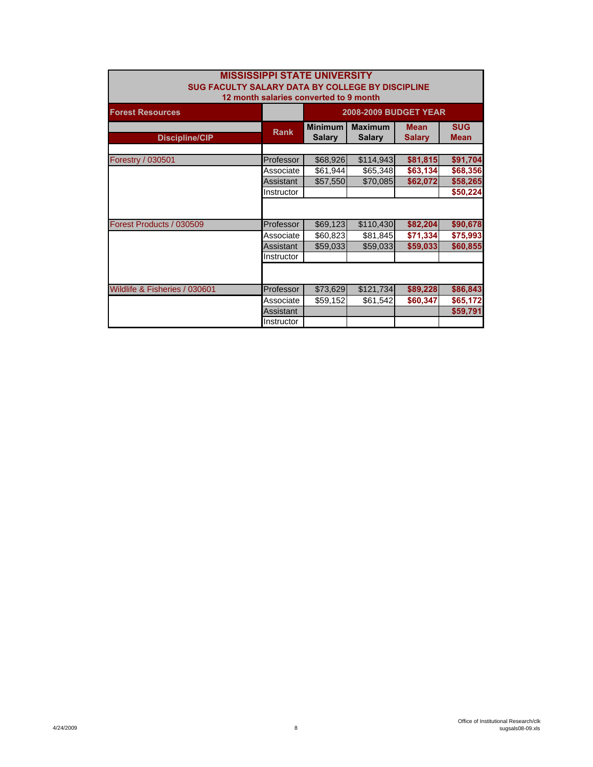| <b>MISSISSIPPI STATE UNIVERSITY</b><br>SUG FACULTY SALARY DATA BY COLLEGE BY DISCIPLINE<br>12 month salaries converted to 9 month |             |                                 |                                 |                              |                           |  |
|-----------------------------------------------------------------------------------------------------------------------------------|-------------|---------------------------------|---------------------------------|------------------------------|---------------------------|--|
| <b>Forest Resources</b>                                                                                                           |             | <b>2008-2009 BUDGET YEAR</b>    |                                 |                              |                           |  |
| <b>Discipline/CIP</b>                                                                                                             | <b>Rank</b> | <b>Minimum</b><br><b>Salary</b> | <b>Maximum</b><br><b>Salary</b> | <b>Mean</b><br><b>Salary</b> | <b>SUG</b><br><b>Mean</b> |  |
|                                                                                                                                   |             |                                 |                                 |                              |                           |  |
| Forestry / 030501                                                                                                                 | Professor   | \$68,926                        | \$114,943                       | \$81,815                     | \$91,704                  |  |
|                                                                                                                                   | Associate   | \$61,944                        | \$65,348                        | \$63,134                     | \$68,356                  |  |
|                                                                                                                                   | Assistant   | \$57,550                        | \$70,085                        | \$62,072                     | \$58,265                  |  |
|                                                                                                                                   | Instructor  |                                 |                                 |                              | \$50,224                  |  |
|                                                                                                                                   |             |                                 |                                 |                              |                           |  |
| Forest Products / 030509                                                                                                          | Professor   | \$69,123                        | \$110,430                       | \$82,204                     | \$90,678                  |  |
|                                                                                                                                   | Associate   | \$60,823                        | \$81,845                        | \$71,334                     | \$75,993                  |  |
|                                                                                                                                   | Assistant   | \$59,033                        | \$59,033                        | \$59,033                     | \$60,855                  |  |
|                                                                                                                                   | Instructor  |                                 |                                 |                              |                           |  |
|                                                                                                                                   |             |                                 |                                 |                              |                           |  |
| Wildlife & Fisheries / 030601                                                                                                     | Professor   | \$73,629                        | \$121,734                       | \$89,228                     | \$86,843                  |  |
|                                                                                                                                   | Associate   | \$59,152                        | \$61,542                        | \$60,347                     | \$65,172                  |  |
|                                                                                                                                   | Assistant   |                                 |                                 |                              | \$59,791                  |  |
|                                                                                                                                   | Instructor  |                                 |                                 |                              |                           |  |